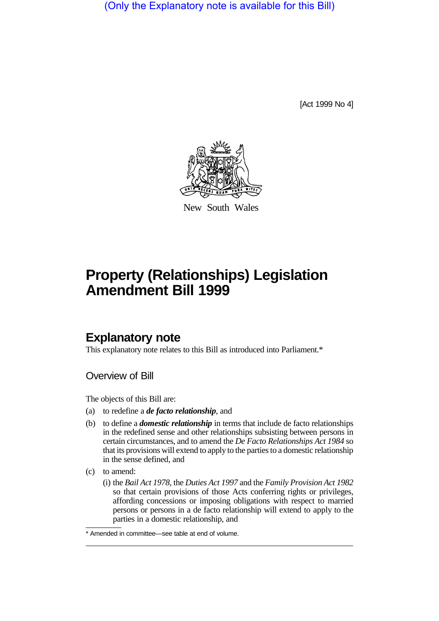(Only the Explanatory note is available for this Bill)

[Act 1999 No 4]



New South Wales

# **Property (Relationships) Legislation Amendment Bill 1999**

# **Explanatory note**

This explanatory note relates to this Bill as introduced into Parliament.\*

Overview of Bill

The objects of this Bill are:

- (a) to redefine a *de facto relationship*, and
- (b) to define a *domestic relationship* in terms that include de facto relationships in the redefined sense and other relationships subsisting between persons in certain circumstances, and to amend the *De Facto Relationships Act 1984* so that its provisions will extend to apply to the parties to a domestic relationship in the sense defined, and
- (c) to amend:
- $\overline{\phantom{a}}$ (i) the *Bail Act 1978*, the *Duties Act 1997* and the *Family Provision Act 1982* so that certain provisions of those Acts conferring rights or privileges, affording concessions or imposing obligations with respect to married persons or persons in a de facto relationship will extend to apply to the parties in a domestic relationship, and

<sup>\*</sup> Amended in committee—see table at end of volume.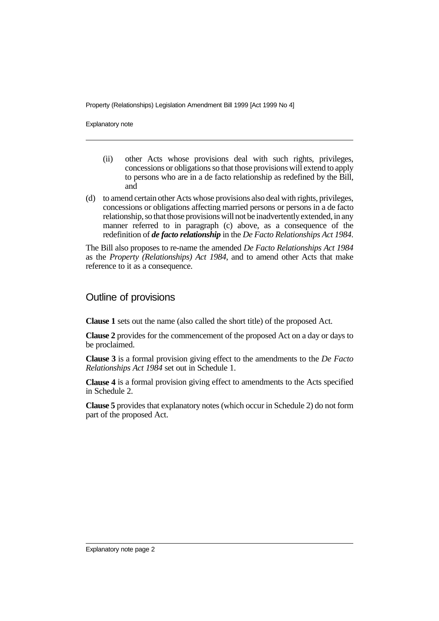Property (Relationships) Legislation Amendment Bill 1999 [Act 1999 No 4]

Explanatory note

- (ii) other Acts whose provisions deal with such rights, privileges, concessions or obligations so that those provisions will extend to apply to persons who are in a de facto relationship as redefined by the Bill, and
- (d) to amend certain other Acts whose provisions also deal with rights, privileges, concessions or obligations affecting married persons or persons in a de facto relationship, so that those provisions will not be inadvertently extended, in any manner referred to in paragraph (c) above, as a consequence of the redefinition of *de facto relationship* in the *De Facto Relationships Act 1984*.

The Bill also proposes to re-name the amended *De Facto Relationships Act 1984* as the *Property (Relationships) Act 1984*, and to amend other Acts that make reference to it as a consequence.

### Outline of provisions

**Clause 1** sets out the name (also called the short title) of the proposed Act.

**Clause 2** provides for the commencement of the proposed Act on a day or days to be proclaimed.

**Clause 3** is a formal provision giving effect to the amendments to the *De Facto Relationships Act 1984* set out in Schedule 1.

**Clause 4** is a formal provision giving effect to amendments to the Acts specified in Schedule 2.

**Clause 5** provides that explanatory notes (which occur in Schedule 2) do not form part of the proposed Act.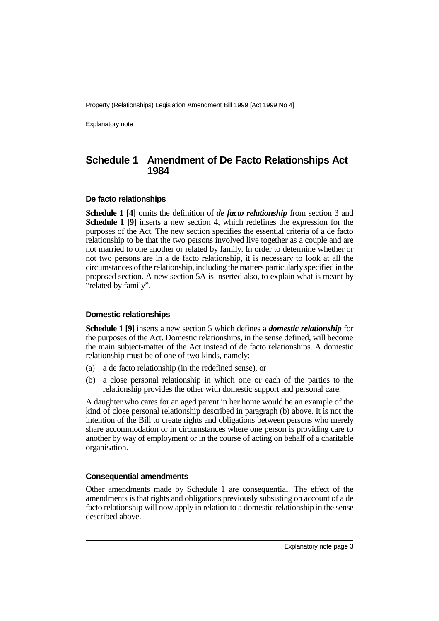Property (Relationships) Legislation Amendment Bill 1999 [Act 1999 No 4]

Explanatory note

# **Schedule 1 Amendment of De Facto Relationships Act 1984**

#### **De facto relationships**

**Schedule 1 [4]** omits the definition of *de facto relationship* from section 3 and **Schedule 1 [9]** inserts a new section 4, which redefines the expression for the purposes of the Act. The new section specifies the essential criteria of a de facto relationship to be that the two persons involved live together as a couple and are not married to one another or related by family. In order to determine whether or not two persons are in a de facto relationship, it is necessary to look at all the circumstances of the relationship, including the matters particularly specified in the proposed section. A new section 5A is inserted also, to explain what is meant by "related by family".

#### **Domestic relationships**

**Schedule 1 [9]** inserts a new section 5 which defines a *domestic relationship* for the purposes of the Act. Domestic relationships, in the sense defined, will become the main subject-matter of the Act instead of de facto relationships. A domestic relationship must be of one of two kinds, namely:

- (a) a de facto relationship (in the redefined sense), or
- (b) a close personal relationship in which one or each of the parties to the relationship provides the other with domestic support and personal care.

A daughter who cares for an aged parent in her home would be an example of the kind of close personal relationship described in paragraph (b) above. It is not the intention of the Bill to create rights and obligations between persons who merely share accommodation or in circumstances where one person is providing care to another by way of employment or in the course of acting on behalf of a charitable organisation.

#### **Consequential amendments**

Other amendments made by Schedule 1 are consequential. The effect of the amendments is that rights and obligations previously subsisting on account of a de facto relationship will now apply in relation to a domestic relationship in the sense described above.